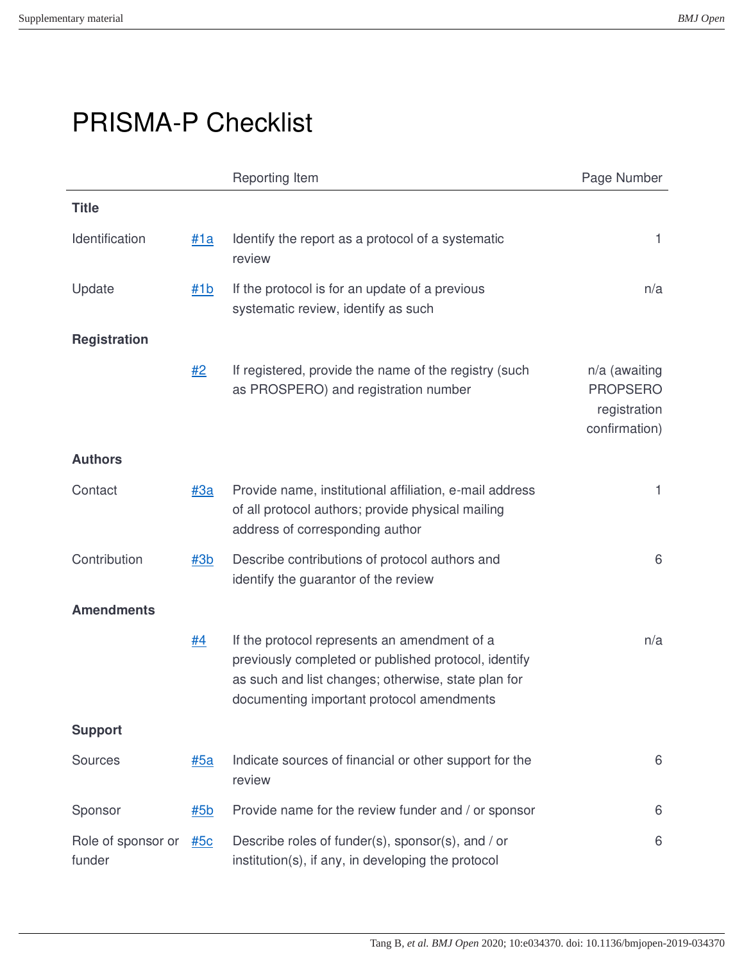## PRISMA-P Checklist

|                              |            | Reporting Item                                                                                                                                                                                           | Page Number                                                       |
|------------------------------|------------|----------------------------------------------------------------------------------------------------------------------------------------------------------------------------------------------------------|-------------------------------------------------------------------|
| <b>Title</b>                 |            |                                                                                                                                                                                                          |                                                                   |
| Identification               | #1a        | Identify the report as a protocol of a systematic<br>review                                                                                                                                              | 1                                                                 |
| Update                       | #1b        | If the protocol is for an update of a previous<br>systematic review, identify as such                                                                                                                    | n/a                                                               |
| <b>Registration</b>          |            |                                                                                                                                                                                                          |                                                                   |
|                              | #2         | If registered, provide the name of the registry (such<br>as PROSPERO) and registration number                                                                                                            | n/a (awaiting<br><b>PROPSERO</b><br>registration<br>confirmation) |
| <b>Authors</b>               |            |                                                                                                                                                                                                          |                                                                   |
| Contact                      | #3a        | Provide name, institutional affiliation, e-mail address<br>of all protocol authors; provide physical mailing<br>address of corresponding author                                                          | 1                                                                 |
| Contribution                 | #3b        | Describe contributions of protocol authors and<br>identify the guarantor of the review                                                                                                                   | 6                                                                 |
| <b>Amendments</b>            |            |                                                                                                                                                                                                          |                                                                   |
|                              | #4         | If the protocol represents an amendment of a<br>previously completed or published protocol, identify<br>as such and list changes; otherwise, state plan for<br>documenting important protocol amendments | n/a                                                               |
| <b>Support</b>               |            |                                                                                                                                                                                                          |                                                                   |
| Sources                      | <u>#5a</u> | Indicate sources of financial or other support for the<br>review                                                                                                                                         | 6                                                                 |
| Sponsor                      | #5b        | Provide name for the review funder and / or sponsor                                                                                                                                                      | 6                                                                 |
| Role of sponsor or<br>funder | <u>#5c</u> | Describe roles of funder(s), sponsor(s), and / or<br>institution(s), if any, in developing the protocol                                                                                                  | 6                                                                 |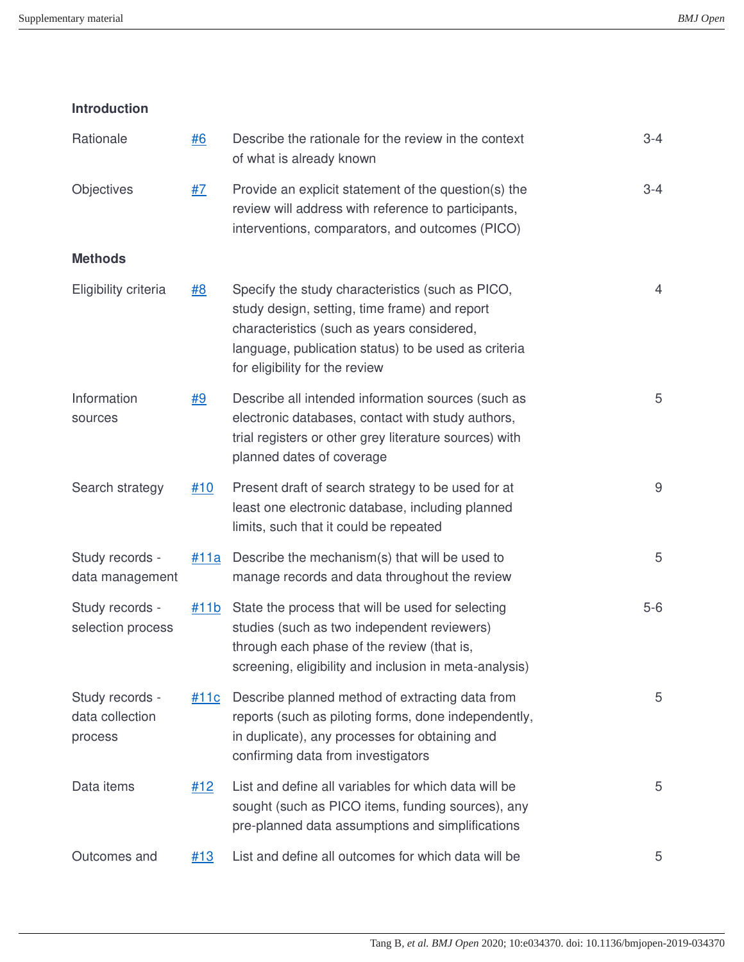| <b>Introduction</b>                           |             |                                                                                                                                                                                                                                           |         |
|-----------------------------------------------|-------------|-------------------------------------------------------------------------------------------------------------------------------------------------------------------------------------------------------------------------------------------|---------|
| Rationale                                     | #6          | Describe the rationale for the review in the context<br>of what is already known                                                                                                                                                          | $3 - 4$ |
| Objectives                                    | <u>#7</u>   | Provide an explicit statement of the question(s) the<br>review will address with reference to participants,<br>interventions, comparators, and outcomes (PICO)                                                                            | $3 - 4$ |
| <b>Methods</b>                                |             |                                                                                                                                                                                                                                           |         |
| Eligibility criteria                          | #8          | Specify the study characteristics (such as PICO,<br>study design, setting, time frame) and report<br>characteristics (such as years considered,<br>language, publication status) to be used as criteria<br>for eligibility for the review | 4       |
| Information<br>sources                        | <u>#9</u>   | Describe all intended information sources (such as<br>electronic databases, contact with study authors,<br>trial registers or other grey literature sources) with<br>planned dates of coverage                                            | 5       |
| Search strategy                               | #10         | Present draft of search strategy to be used for at<br>least one electronic database, including planned<br>limits, such that it could be repeated                                                                                          | 9       |
| Study records -<br>data management            | #11a        | Describe the mechanism(s) that will be used to<br>manage records and data throughout the review                                                                                                                                           | 5       |
| Study records -<br>selection process          | #11b        | State the process that will be used for selecting<br>studies (such as two independent reviewers)<br>through each phase of the review (that is,<br>screening, eligibility and inclusion in meta-analysis)                                  | $5-6$   |
| Study records -<br>data collection<br>process | <u>#11c</u> | Describe planned method of extracting data from<br>reports (such as piloting forms, done independently,<br>in duplicate), any processes for obtaining and<br>confirming data from investigators                                           | 5       |
| Data items                                    | #12         | List and define all variables for which data will be<br>sought (such as PICO items, funding sources), any<br>pre-planned data assumptions and simplifications                                                                             | 5       |
| Outcomes and                                  | #13         | List and define all outcomes for which data will be                                                                                                                                                                                       | 5       |